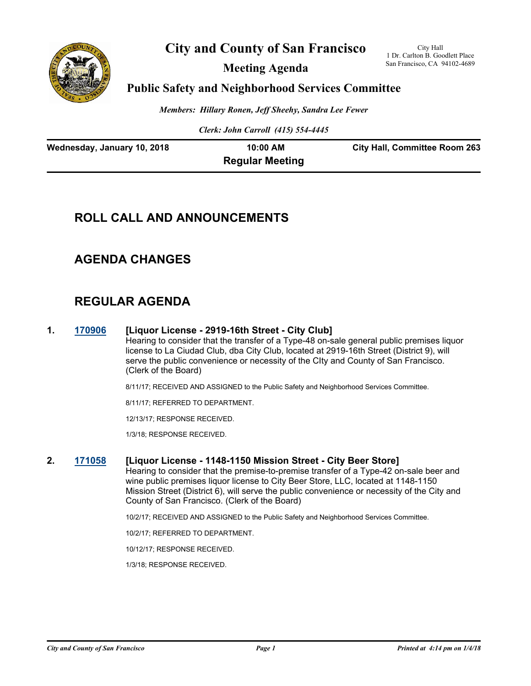

# **City and County of San Francisco**

**Meeting Agenda**

City Hall 1 Dr. Carlton B. Goodlett Place San Francisco, CA 94102-4689

## **Public Safety and Neighborhood Services Committee**

*Members: Hillary Ronen, Jeff Sheehy, Sandra Lee Fewer*

*Clerk: John Carroll (415) 554-4445*

| Wednesday, January 10, 2018 | 10:00 AM               | <b>City Hall, Committee Room 263</b> |
|-----------------------------|------------------------|--------------------------------------|
|                             | <b>Regular Meeting</b> |                                      |

# **ROLL CALL AND ANNOUNCEMENTS**

# **AGENDA CHANGES**

# **REGULAR AGENDA**

#### **1. [170906](http://sfgov.legistar.com/gateway.aspx?m=l&id=32452) [Liquor License - 2919-16th Street - City Club]**

Hearing to consider that the transfer of a Type-48 on-sale general public premises liquor license to La Ciudad Club, dba City Club, located at 2919-16th Street (District 9), will serve the public convenience or necessity of the CIty and County of San Francisco. (Clerk of the Board)

8/11/17; RECEIVED AND ASSIGNED to the Public Safety and Neighborhood Services Committee.

8/11/17; REFERRED TO DEPARTMENT.

12/13/17; RESPONSE RECEIVED.

1/3/18; RESPONSE RECEIVED.

#### **2. [171058](http://sfgov.legistar.com/gateway.aspx?m=l&id=32600) [Liquor License - 1148-1150 Mission Street - City Beer Store]**

Hearing to consider that the premise-to-premise transfer of a Type-42 on-sale beer and wine public premises liquor license to City Beer Store, LLC, located at 1148-1150 Mission Street (District 6), will serve the public convenience or necessity of the City and County of San Francisco. (Clerk of the Board)

10/2/17; RECEIVED AND ASSIGNED to the Public Safety and Neighborhood Services Committee.

10/2/17; REFERRED TO DEPARTMENT.

10/12/17; RESPONSE RECEIVED.

1/3/18; RESPONSE RECEIVED.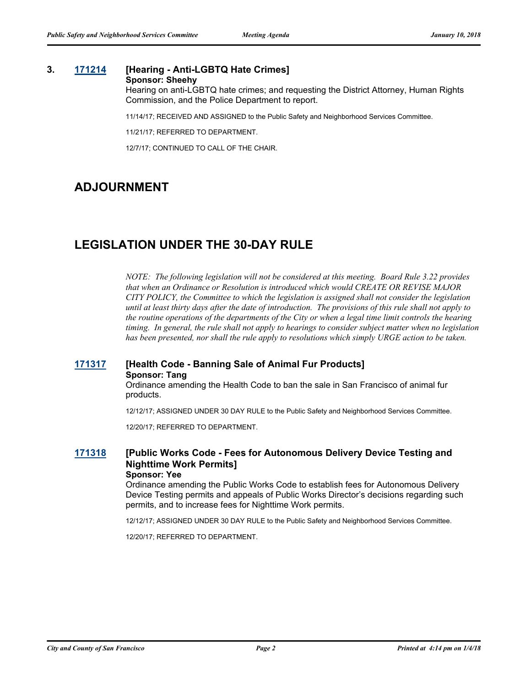## **3. [171214](http://sfgov.legistar.com/gateway.aspx?m=l&id=32756) [Hearing - Anti-LGBTQ Hate Crimes]**

#### **Sponsor: Sheehy**

Hearing on anti-LGBTQ hate crimes; and requesting the District Attorney, Human Rights Commission, and the Police Department to report.

11/14/17; RECEIVED AND ASSIGNED to the Public Safety and Neighborhood Services Committee.

11/21/17; REFERRED TO DEPARTMENT.

12/7/17; CONTINUED TO CALL OF THE CHAIR.

# **ADJOURNMENT**

# **LEGISLATION UNDER THE 30-DAY RULE**

*NOTE: The following legislation will not be considered at this meeting. Board Rule 3.22 provides that when an Ordinance or Resolution is introduced which would CREATE OR REVISE MAJOR CITY POLICY, the Committee to which the legislation is assigned shall not consider the legislation until at least thirty days after the date of introduction. The provisions of this rule shall not apply to the routine operations of the departments of the City or when a legal time limit controls the hearing timing. In general, the rule shall not apply to hearings to consider subject matter when no legislation has been presented, nor shall the rule apply to resolutions which simply URGE action to be taken.*

## **[171317](http://sfgov.legistar.com/gateway.aspx?m=l&id=32859) [Health Code - Banning Sale of Animal Fur Products] Sponsor: Tang**

Ordinance amending the Health Code to ban the sale in San Francisco of animal fur products.

12/12/17; ASSIGNED UNDER 30 DAY RULE to the Public Safety and Neighborhood Services Committee.

12/20/17; REFERRED TO DEPARTMENT.

#### **[171318](http://sfgov.legistar.com/gateway.aspx?m=l&id=32860) [Public Works Code - Fees for Autonomous Delivery Device Testing and Nighttime Work Permits] Sponsor: Yee**

Ordinance amending the Public Works Code to establish fees for Autonomous Delivery Device Testing permits and appeals of Public Works Director's decisions regarding such permits, and to increase fees for Nighttime Work permits.

12/12/17; ASSIGNED UNDER 30 DAY RULE to the Public Safety and Neighborhood Services Committee.

12/20/17; REFERRED TO DEPARTMENT.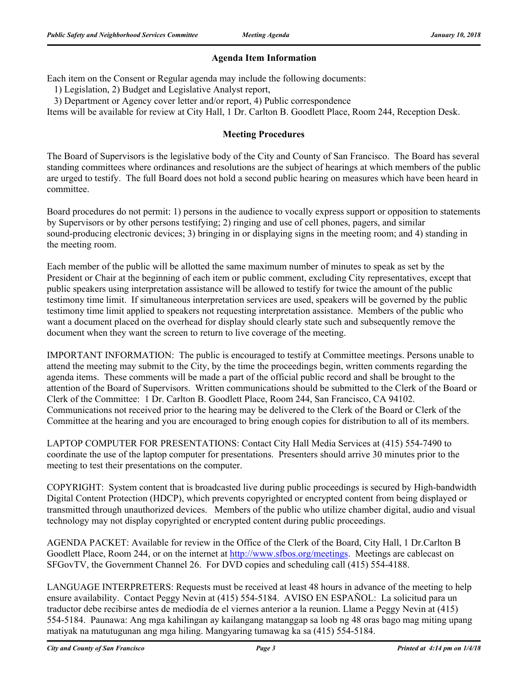## **Agenda Item Information**

Each item on the Consent or Regular agenda may include the following documents:

1) Legislation, 2) Budget and Legislative Analyst report,

3) Department or Agency cover letter and/or report, 4) Public correspondence

Items will be available for review at City Hall, 1 Dr. Carlton B. Goodlett Place, Room 244, Reception Desk.

### **Meeting Procedures**

The Board of Supervisors is the legislative body of the City and County of San Francisco. The Board has several standing committees where ordinances and resolutions are the subject of hearings at which members of the public are urged to testify. The full Board does not hold a second public hearing on measures which have been heard in committee.

Board procedures do not permit: 1) persons in the audience to vocally express support or opposition to statements by Supervisors or by other persons testifying; 2) ringing and use of cell phones, pagers, and similar sound-producing electronic devices; 3) bringing in or displaying signs in the meeting room; and 4) standing in the meeting room.

Each member of the public will be allotted the same maximum number of minutes to speak as set by the President or Chair at the beginning of each item or public comment, excluding City representatives, except that public speakers using interpretation assistance will be allowed to testify for twice the amount of the public testimony time limit. If simultaneous interpretation services are used, speakers will be governed by the public testimony time limit applied to speakers not requesting interpretation assistance. Members of the public who want a document placed on the overhead for display should clearly state such and subsequently remove the document when they want the screen to return to live coverage of the meeting.

IMPORTANT INFORMATION: The public is encouraged to testify at Committee meetings. Persons unable to attend the meeting may submit to the City, by the time the proceedings begin, written comments regarding the agenda items. These comments will be made a part of the official public record and shall be brought to the attention of the Board of Supervisors. Written communications should be submitted to the Clerk of the Board or Clerk of the Committee: 1 Dr. Carlton B. Goodlett Place, Room 244, San Francisco, CA 94102. Communications not received prior to the hearing may be delivered to the Clerk of the Board or Clerk of the Committee at the hearing and you are encouraged to bring enough copies for distribution to all of its members.

LAPTOP COMPUTER FOR PRESENTATIONS: Contact City Hall Media Services at (415) 554-7490 to coordinate the use of the laptop computer for presentations. Presenters should arrive 30 minutes prior to the meeting to test their presentations on the computer.

COPYRIGHT: System content that is broadcasted live during public proceedings is secured by High-bandwidth Digital Content Protection (HDCP), which prevents copyrighted or encrypted content from being displayed or transmitted through unauthorized devices. Members of the public who utilize chamber digital, audio and visual technology may not display copyrighted or encrypted content during public proceedings.

AGENDA PACKET: Available for review in the Office of the Clerk of the Board, City Hall, 1 Dr.Carlton B Goodlett Place, Room 244, or on the internet at http://www.sfbos.org/meetings. Meetings are cablecast on SFGovTV, the Government Channel 26. For DVD copies and scheduling call (415) 554-4188.

LANGUAGE INTERPRETERS: Requests must be received at least 48 hours in advance of the meeting to help ensure availability. Contact Peggy Nevin at (415) 554-5184. AVISO EN ESPAÑOL: La solicitud para un traductor debe recibirse antes de mediodía de el viernes anterior a la reunion. Llame a Peggy Nevin at (415) 554-5184. Paunawa: Ang mga kahilingan ay kailangang matanggap sa loob ng 48 oras bago mag miting upang matiyak na matutugunan ang mga hiling. Mangyaring tumawag ka sa (415) 554-5184.